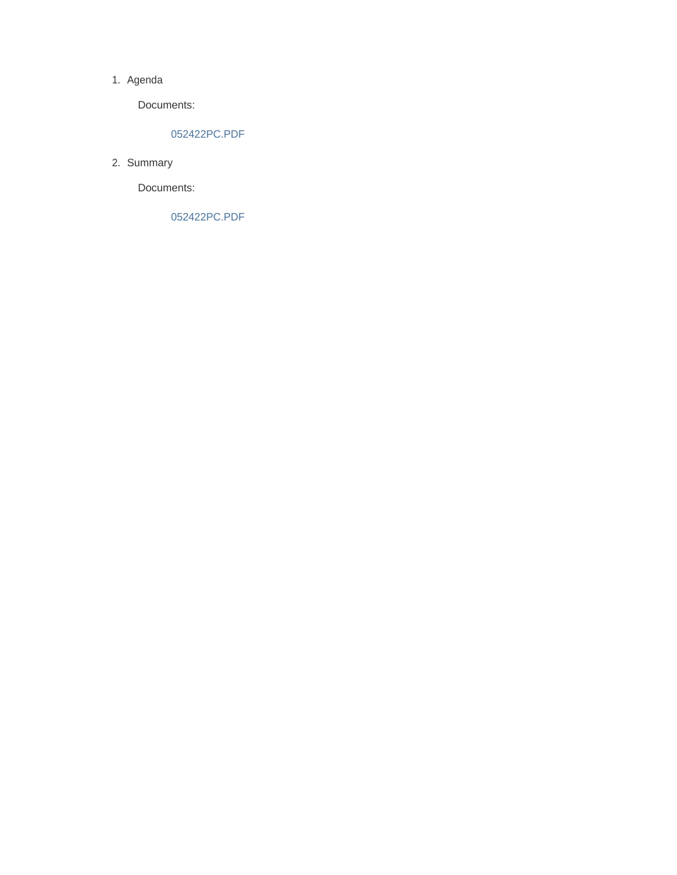#### 1. Agenda

Documents:

#### 052422PC.PDF

2. Summary

Documents:

052422PC.PDF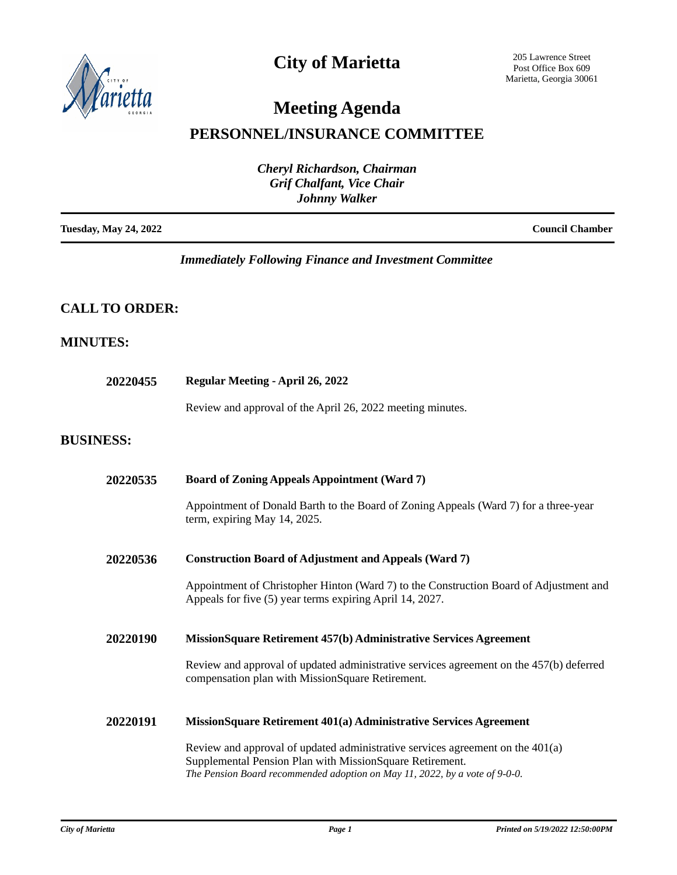

## **City of Marietta**

205 Lawrence Street Post Office Box 609 Marietta, Georgia 30061

# **Meeting Agenda**

### **PERSONNEL/INSURANCE COMMITTEE**

| <b>Cheryl Richardson, Chairman</b><br><b>Grif Chalfant, Vice Chair</b> |                        |
|------------------------------------------------------------------------|------------------------|
| <b>Johnny Walker</b>                                                   |                        |
| <b>Tuesday, May 24, 2022</b>                                           | <b>Council Chamber</b> |

### *Immediately Following Finance and Investment Committee*

### **CALL TO ORDER:**

### **MINUTES:**

| 20220455         | Regular Meeting - April 26, 2022                                                                                                                                                                                            |  |
|------------------|-----------------------------------------------------------------------------------------------------------------------------------------------------------------------------------------------------------------------------|--|
|                  | Review and approval of the April 26, 2022 meeting minutes.                                                                                                                                                                  |  |
| <b>BUSINESS:</b> |                                                                                                                                                                                                                             |  |
| 20220535         | <b>Board of Zoning Appeals Appointment (Ward 7)</b>                                                                                                                                                                         |  |
|                  | Appointment of Donald Barth to the Board of Zoning Appeals (Ward 7) for a three-year<br>term, expiring May 14, 2025.                                                                                                        |  |
| 20220536         | <b>Construction Board of Adjustment and Appeals (Ward 7)</b>                                                                                                                                                                |  |
|                  | Appointment of Christopher Hinton (Ward 7) to the Construction Board of Adjustment and<br>Appeals for five (5) year terms expiring April 14, 2027.                                                                          |  |
| 20220190         | MissionSquare Retirement 457(b) Administrative Services Agreement                                                                                                                                                           |  |
|                  | Review and approval of updated administrative services agreement on the 457(b) deferred<br>compensation plan with MissionSquare Retirement.                                                                                 |  |
| 20220191         | MissionSquare Retirement 401(a) Administrative Services Agreement                                                                                                                                                           |  |
|                  | Review and approval of updated administrative services agreement on the $401(a)$<br>Supplemental Pension Plan with MissionSquare Retirement.<br>The Pension Board recommended adoption on May 11, 2022, by a vote of 9-0-0. |  |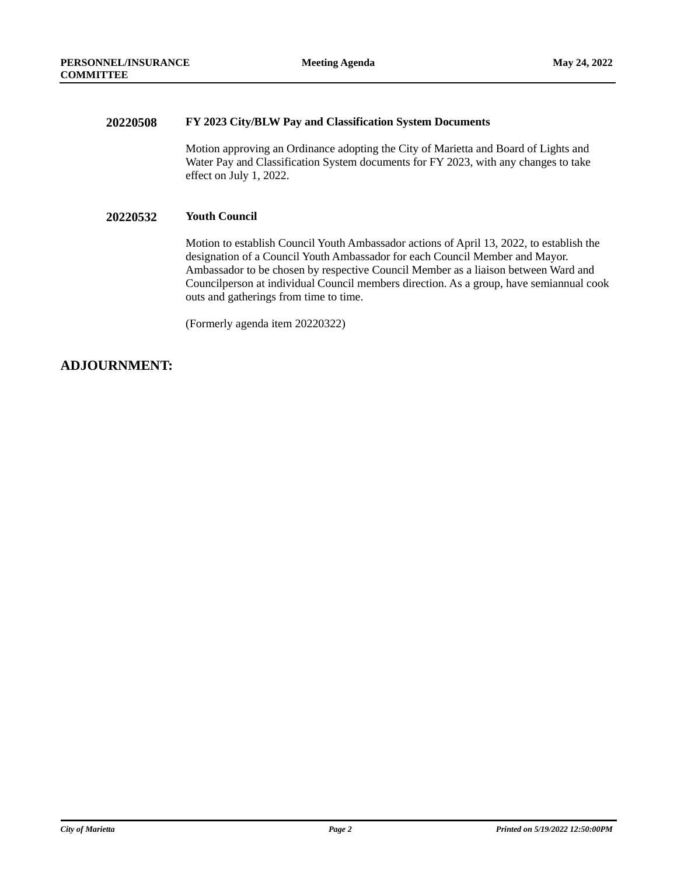#### **20220508 FY 2023 City/BLW Pay and Classification System Documents**

Motion approving an Ordinance adopting the City of Marietta and Board of Lights and Water Pay and Classification System documents for FY 2023, with any changes to take effect on July 1, 2022.

#### **20220532 Youth Council**

Motion to establish Council Youth Ambassador actions of April 13, 2022, to establish the designation of a Council Youth Ambassador for each Council Member and Mayor. Ambassador to be chosen by respective Council Member as a liaison between Ward and Councilperson at individual Council members direction. As a group, have semiannual cook outs and gatherings from time to time.

(Formerly agenda item 20220322)

### **ADJOURNMENT:**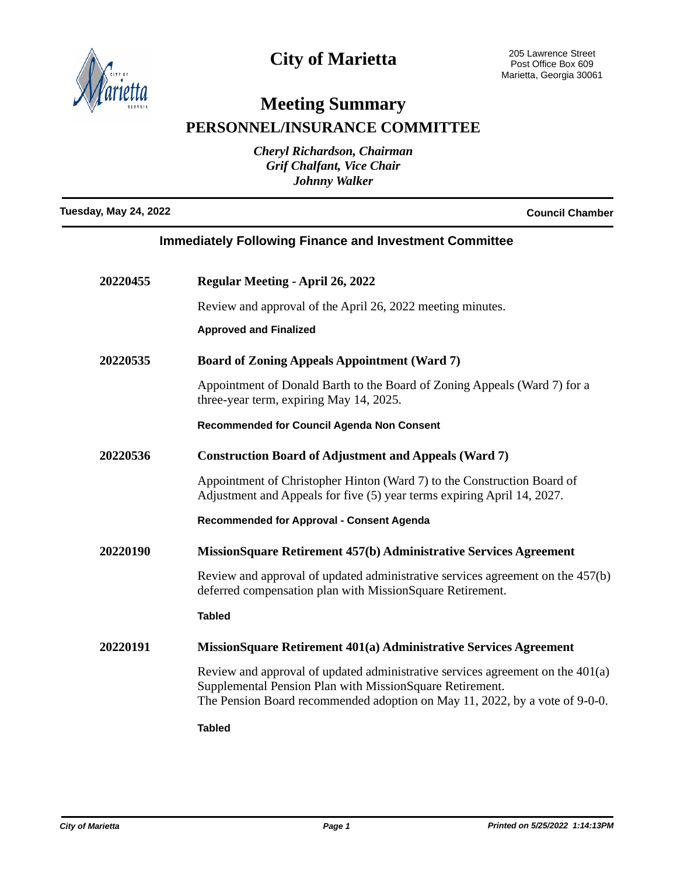

## **City of Marietta**

## **Meeting Summary**

**PERSONNEL/INSURANCE COMMITTEE**

*Cheryl Richardson, Chairman Grif Chalfant, Vice Chair Johnny Walker*

**Tuesday, May 24, 2022 Council Chamber**

| <b>Immediately Following Finance and Investment Committee</b> |
|---------------------------------------------------------------|
|                                                               |

| 20220455 | <b>Regular Meeting - April 26, 2022</b>                                                                                                                                                                                     |
|----------|-----------------------------------------------------------------------------------------------------------------------------------------------------------------------------------------------------------------------------|
|          | Review and approval of the April 26, 2022 meeting minutes.                                                                                                                                                                  |
|          | <b>Approved and Finalized</b>                                                                                                                                                                                               |
| 20220535 | <b>Board of Zoning Appeals Appointment (Ward 7)</b>                                                                                                                                                                         |
|          | Appointment of Donald Barth to the Board of Zoning Appeals (Ward 7) for a<br>three-year term, expiring May 14, 2025.                                                                                                        |
|          | Recommended for Council Agenda Non Consent                                                                                                                                                                                  |
| 20220536 | <b>Construction Board of Adjustment and Appeals (Ward 7)</b>                                                                                                                                                                |
|          | Appointment of Christopher Hinton (Ward 7) to the Construction Board of<br>Adjustment and Appeals for five (5) year terms expiring April 14, 2027.                                                                          |
|          | <b>Recommended for Approval - Consent Agenda</b>                                                                                                                                                                            |
| 20220190 | MissionSquare Retirement 457(b) Administrative Services Agreement                                                                                                                                                           |
|          | Review and approval of updated administrative services agreement on the 457(b)<br>deferred compensation plan with MissionSquare Retirement.                                                                                 |
|          | <b>Tabled</b>                                                                                                                                                                                                               |
| 20220191 | MissionSquare Retirement 401(a) Administrative Services Agreement                                                                                                                                                           |
|          | Review and approval of updated administrative services agreement on the $401(a)$<br>Supplemental Pension Plan with MissionSquare Retirement.<br>The Pension Board recommended adoption on May 11, 2022, by a vote of 9-0-0. |
|          | <b>Tabled</b>                                                                                                                                                                                                               |